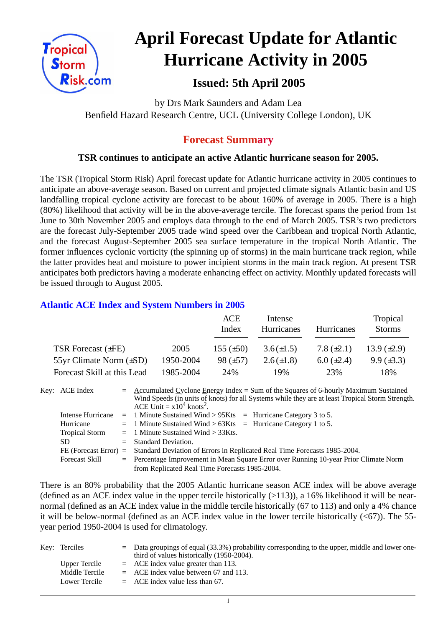

# **April Forecast Update for Atlantic Hurricane Activity in 2005**

# **Issued: 5th April 2005**

by Drs Mark Saunders and Adam Lea Benfield Hazard Research Centre, UCL (University College London), UK

# **Forecast Summary**

## **TSR continues to anticipate an active Atlantic hurricane season for 2005.**

The TSR (Tropical Storm Risk) April forecast update for Atlantic hurricane activity in 2005 continues to anticipate an above-average season. Based on current and projected climate signals Atlantic basin and US landfalling tropical cyclone activity are forecast to be about 160% of average in 2005. There is a high (80%) likelihood that activity will be in the above-average tercile. The forecast spans the period from 1st June to 30th November 2005 and employs data through to the end of March 2005. TSR's two predictors are the forecast July-September 2005 trade wind speed over the Caribbean and tropical North Atlantic, and the forecast August-September 2005 sea surface temperature in the tropical North Atlantic. The former influences cyclonic vorticity (the spinning up of storms) in the main hurricane track region, while the latter provides heat and moisture to power incipient storms in the main track region. At present TSR anticipates both predictors having a moderate enhancing effect on activity. Monthly updated forecasts will be issued through to August 2005.

## **Atlantic ACE Index and System Numbers in 2005**

|                              |           | ACE<br>Index   | Intense<br>Hurricanes | <b>Hurricanes</b> | Tropical<br><b>Storms</b> |
|------------------------------|-----------|----------------|-----------------------|-------------------|---------------------------|
| TSR Forecast $(\pm FE)$      | 2005      | 155 $(\pm 50)$ | $3.6(\pm 1.5)$        | 7.8 $(\pm 2.1)$   | 13.9 $(\pm 2.9)$          |
| 55yr Climate Norm $(\pm SD)$ | 1950-2004 | $98 (\pm 57)$  | $2.6(\pm 1.8)$        | $6.0 \ (\pm 2.4)$ | $9.9 \ (\pm 3.3)$         |
| Forecast Skill at this Lead  | 1985-2004 | 24%            | 19%                   | 23%               | 18%                       |

Key: ACE Index =  $\triangle$  ccumulated Cyclone Energy Index = Sum of the Squares of 6-hourly Maximum Sustained Wind Speeds (in units of knots) for all Systems while they are at least Tropical Storm Strength. ACE Unit  $= x10^4$  knots<sup>2</sup>. Intense Hurricane  $= 1$  Minute Sustained Wind > 95Kts  $=$  Hurricane Category 3 to 5. Hurricane  $= 1$  Minute Sustained Wind  $> 63K$ ts = Hurricane Category 1 to 5.

| <b>Tropical Storm</b> | $=$ 1 Minute Sustained Wind $>$ 33Kts.                                                          |
|-----------------------|-------------------------------------------------------------------------------------------------|
| SD.                   | $=$ Standard Deviation.                                                                         |
|                       | FE (Forecast Error) = Standard Deviation of Errors in Replicated Real Time Forecasts 1985-2004. |
| Forecast Skill        | $=$ Percentage Improvement in Mean Square Error over Running 10-year Prior Climate Norm         |
|                       | from Replicated Real Time Forecasts 1985-2004.                                                  |

There is an 80% probability that the 2005 Atlantic hurricane season ACE index will be above average (defined as an ACE index value in the upper tercile historically  $(>113)$ ), a 16% likelihood it will be nearnormal (defined as an ACE index value in the middle tercile historically (67 to 113) and only a 4% chance it will be below-normal (defined as an ACE index value in the lower tercile historically  $( $67$ )$ ). The 55year period 1950-2004 is used for climatology.

| Key: Terciles  | $\epsilon$ Data groupings of equal (33.3%) probability corresponding to the upper, middle and lower one- |
|----------------|----------------------------------------------------------------------------------------------------------|
|                | third of values historically (1950-2004).                                                                |
| Upper Tercile  | $=$ ACE index value greater than 113.                                                                    |
| Middle Tercile | $=$ ACE index value between 67 and 113.                                                                  |
| Lower Tercile  | $=$ ACE index value less than 67.                                                                        |

1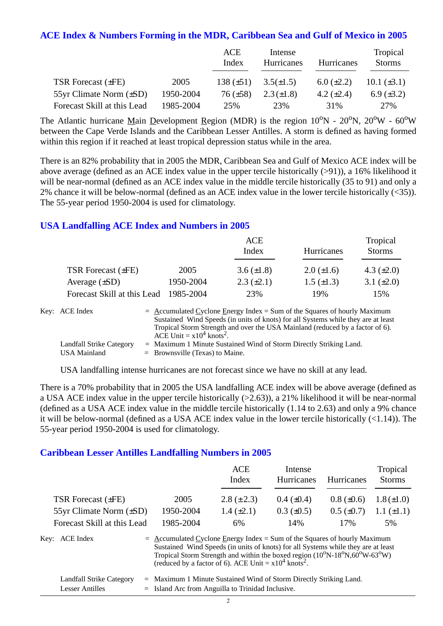#### **ACE Index & Numbers Forming in the MDR, Caribbean Sea and Gulf of Mexico in 2005**

|                              |           | ACE<br>Index    | Intense<br>Hurricanes | Hurricanes      | Tropical<br><b>Storms</b> |
|------------------------------|-----------|-----------------|-----------------------|-----------------|---------------------------|
| TSR Forecast $(\pm FE)$      | 2005      | 138 $(\pm 51)$  | $3.5(\pm 1.5)$        | $6.0 (\pm 2.2)$ | $10.1 (\pm 3.1)$          |
| 55yr Climate Norm $(\pm SD)$ | 1950-2004 | $76 \ (\pm 58)$ | $2.3(\pm 1.8)$        | 4.2 $(\pm 2.4)$ | 6.9 $(\pm 3.2)$           |
| Forecast Skill at this Lead  | 1985-2004 | 25%             | 23%                   | 31%             | 27%                       |

The Atlantic hurricane Main Development Region (MDR) is the region  $10^{\circ}N - 20^{\circ}N$ ,  $20^{\circ}W - 60^{\circ}W$ between the Cape Verde Islands and the Caribbean Lesser Antilles. A storm is defined as having formed within this region if it reached at least tropical depression status while in the area.

There is an 82% probability that in 2005 the MDR, Caribbean Sea and Gulf of Mexico ACE index will be above average (defined as an ACE index value in the upper tercile historically (>91)), a 16% likelihood it will be near-normal (defined as an ACE index value in the middle tercile historically (35 to 91) and only a 2% chance it will be below-normal (defined as an ACE index value in the lower tercile historically (<35)). The 55-year period 1950-2004 is used for climatology.

#### **USA Landfalling ACE Index and Numbers in 2005**

|                             |           | ACE<br>Index      | <b>Hurricanes</b> | Tropical<br><b>Storms</b> |
|-----------------------------|-----------|-------------------|-------------------|---------------------------|
| TSR Forecast $(\pm FE)$     | 2005      | 3.6 $(\pm 1.8)$   | $2.0 \ (\pm 1.6)$ | 4.3 $(\pm 2.0)$           |
| Average $(\pm SD)$          | 1950-2004 | $2.3 \ (\pm 2.1)$ | $1.5 \ (\pm 1.3)$ | 3.1 $(\pm 2.0)$           |
| Forecast Skill at this Lead | 1985-2004 | 23%               | 19%               | 15%                       |

| Key: ACE Index           | $=$ Accumulated Cyclone Energy Index $=$ Sum of the Squares of hourly Maximum     |
|--------------------------|-----------------------------------------------------------------------------------|
|                          | Sustained Wind Speeds (in units of knots) for all Systems while they are at least |
|                          | Tropical Storm Strength and over the USA Mainland (reduced by a factor of 6).     |
|                          | ACE Unit = $x10^4$ knots <sup>2</sup> .                                           |
| Landfall Strike Category | $=$ Maximum 1 Minute Sustained Wind of Storm Directly Striking Land.              |
| USA Mainland             | $=$ Brownsville (Texas) to Maine.                                                 |

USA landfalling intense hurricanes are not forecast since we have no skill at any lead.

There is a 70% probability that in 2005 the USA landfalling ACE index will be above average (defined as a USA ACE index value in the upper tercile historically (>2.63)), a 21% likelihood it will be near-normal (defined as a USA ACE index value in the middle tercile historically (1.14 to 2.63) and only a 9% chance it will be below-normal (defined as a USA ACE index value in the lower tercile historically (<1.14)). The 55-year period 1950-2004 is used for climatology.

#### **Caribbean Lesser Antilles Landfalling Numbers in 2005**

|                                                                                                                                                                                                                                                                                                                                                                      |           | ACE<br>Index      | Intense<br>Hurricanes | <b>Hurricanes</b> | Tropical<br><b>Storms</b> |
|----------------------------------------------------------------------------------------------------------------------------------------------------------------------------------------------------------------------------------------------------------------------------------------------------------------------------------------------------------------------|-----------|-------------------|-----------------------|-------------------|---------------------------|
| <b>TSR Forecast (±FE)</b>                                                                                                                                                                                                                                                                                                                                            | 2005      | $2.8 (\pm 2.3)$   | $0.4~(\pm 0.4)$       | $0.8 (\pm 0.6)$   | $1.8 (\pm 1.0)$           |
| 55yr Climate Norm (±SD)                                                                                                                                                                                                                                                                                                                                              | 1950-2004 | $1.4 \ (\pm 2.1)$ | $0.3 \ (\pm 0.5)$     | $0.5 \ (\pm 0.7)$ | $1.1 (\pm 1.1)$           |
| Forecast Skill at this Lead                                                                                                                                                                                                                                                                                                                                          | 1985-2004 | 6%                | 14%                   | 17%               | 5%                        |
| Key: ACE Index<br>$=$ Accumulated Cyclone Energy Index = Sum of the Squares of hourly Maximum<br>Sustained Wind Speeds (in units of knots) for all Systems while they are at least<br>Tropical Storm Strength and within the boxed region $(10^{\circ}N-18^{\circ}N,60^{\circ}W-63^{\circ}W)$<br>(reduced by a factor of 6). ACE Unit = $x10^4$ knots <sup>2</sup> . |           |                   |                       |                   |                           |

| Landfall Strike Category | $=$ Maximum 1 Minute Sustained Wind of Storm Directly Striking Land. |
|--------------------------|----------------------------------------------------------------------|
| Lesser Antilles          | $=$ Island Arc from Anguilla to Trinidad Inclusive.                  |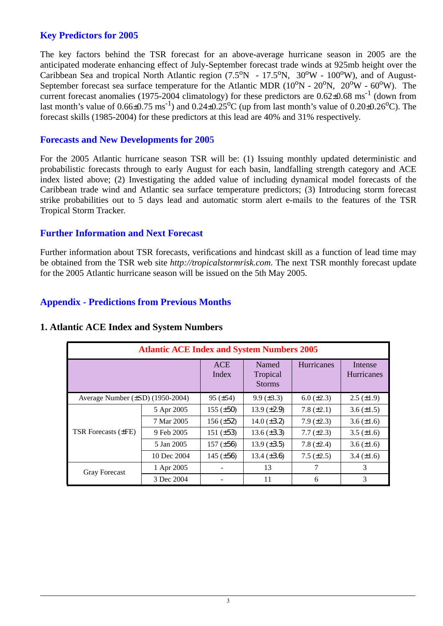#### **Key Predictors for 2005**

The key factors behind the TSR forecast for an above-average hurricane season in 2005 are the anticipated moderate enhancing effect of July-September forecast trade winds at 925mb height over the Caribbean Sea and tropical North Atlantic region  $(7.5^{\circ}N - 17.5^{\circ}N, 30^{\circ}W - 100^{\circ}W)$ , and of August-September forecast sea surface temperature for the Atlantic MDR  $(10^{\circ}N - 20^{\circ}N, 20^{\circ}W - 60^{\circ}W)$ . The current forecast anomalies (1975-2004 climatology) for these predictors are  $0.62\pm0.68$  ms<sup>-1</sup> (down from last month's value of  $0.66 \pm 0.75$  ms<sup>-1</sup>) and  $0.24 \pm 0.25$ <sup>o</sup>C (up from last month's value of  $0.20 \pm 0.26$ <sup>o</sup>C). The forecast skills (1985-2004) for these predictors at this lead are 40% and 31% respectively.

#### **Forecasts and New Developments for 2005**

For the 2005 Atlantic hurricane season TSR will be: (1) Issuing monthly updated deterministic and probabilistic forecasts through to early August for each basin, landfalling strength category and ACE index listed above; (2) Investigating the added value of including dynamical model forecasts of the Caribbean trade wind and Atlantic sea surface temperature predictors; (3) Introducing storm forecast strike probabilities out to 5 days lead and automatic storm alert e-mails to the features of the TSR Tropical Storm Tracker.

#### **Further Information and Next Forecast**

Further information about TSR forecasts, verifications and hindcast skill as a function of lead time may be obtained from the TSR web site *http://tropicalstormrisk.com*. The next TSR monthly forecast update for the 2005 Atlantic hurricane season will be issued on the 5th May 2005.

## **Appendix - Predictions from Previous Months**

| <b>Atlantic ACE Index and System Numbers 2005</b> |             |                     |                                    |                   |                       |  |
|---------------------------------------------------|-------------|---------------------|------------------------------------|-------------------|-----------------------|--|
|                                                   |             | <b>ACE</b><br>Index | Named<br>Tropical<br><b>Storms</b> | <b>Hurricanes</b> | Intense<br>Hurricanes |  |
| Average Number $(\pm SD)$ (1950-2004)             |             | $95 (\pm 54)$       | $9.9 \ (\pm 3.3)$                  | $6.0 (\pm 2.3)$   | $2.5 \ (\pm 1.9)$     |  |
|                                                   | 5 Apr 2005  | $155 (\pm 50)$      | 13.9 $(\pm 2.9)$                   | 7.8 $(\pm 2.1)$   | $3.6 \, (\pm 1.5)$    |  |
|                                                   | 7 Mar 2005  | $156 (\pm 52)$      | 14.0 $(\pm 3.2)$                   | $7.9 \ (\pm 2.3)$ | $3.6 (\pm 1.6)$       |  |
| <b>TSR Forecasts (±FE)</b>                        | 9 Feb 2005  | 151 $(\pm 53)$      | 13.6 $(\pm 3.3)$                   | $7.7 (\pm 2.3)$   | $3.5 \ (\pm 1.6)$     |  |
|                                                   | 5 Jan 2005  | 157 $(\pm 56)$      | $13.9 \ (\pm 3.5)$                 | 7.8 $(\pm 2.4)$   | $3.6 (\pm 1.6)$       |  |
|                                                   | 10 Dec 2004 | 145 $(\pm 56)$      | 13.4 $(\pm 3.6)$                   | $7.5 \ (\pm 2.5)$ | $3.4 (\pm 1.6)$       |  |
| <b>Gray Forecast</b>                              | 1 Apr 2005  |                     | 13                                 | 7                 | 3                     |  |
|                                                   | 3 Dec 2004  |                     | 11                                 | 6                 | 3                     |  |

#### **1. Atlantic ACE Index and System Numbers**